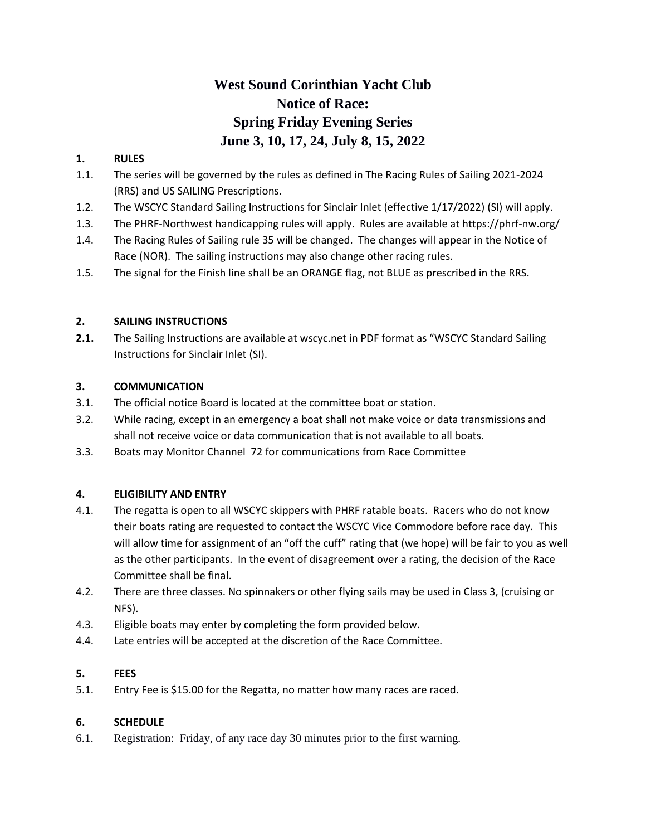# **West Sound Corinthian Yacht Club Notice of Race: Spring Friday Evening Series June 3, 10, 17, 24, July 8, 15, 2022**

## **1. RULES**

- 1.1. The series will be governed by the rules as defined in The Racing Rules of Sailing 2021-2024 (RRS) and US SAILING Prescriptions.
- 1.2. The WSCYC Standard Sailing Instructions for Sinclair Inlet (effective 1/17/2022) (SI) will apply.
- 1.3. The PHRF-Northwest handicapping rules will apply. Rules are available at https://phrf-nw.org/
- 1.4. The Racing Rules of Sailing rule 35 will be changed. The changes will appear in the Notice of Race (NOR). The sailing instructions may also change other racing rules.
- 1.5. The signal for the Finish line shall be an ORANGE flag, not BLUE as prescribed in the RRS.

## **2. SAILING INSTRUCTIONS**

**2.1.** The Sailing Instructions are available at wscyc.net in PDF format as "WSCYC Standard Sailing Instructions for Sinclair Inlet (SI).

## **3. COMMUNICATION**

- 3.1. The official notice Board is located at the committee boat or station.
- 3.2. While racing, except in an emergency a boat shall not make voice or data transmissions and shall not receive voice or data communication that is not available to all boats.
- 3.3. Boats may Monitor Channel 72 for communications from Race Committee

# **4. ELIGIBILITY AND ENTRY**

- 4.1. The regatta is open to all WSCYC skippers with PHRF ratable boats. Racers who do not know their boats rating are requested to contact the WSCYC Vice Commodore before race day. This will allow time for assignment of an "off the cuff" rating that (we hope) will be fair to you as well as the other participants. In the event of disagreement over a rating, the decision of the Race Committee shall be final.
- 4.2. There are three classes. No spinnakers or other flying sails may be used in Class 3, (cruising or NFS).
- 4.3. Eligible boats may enter by completing the form provided below.
- 4.4. Late entries will be accepted at the discretion of the Race Committee.

# **5. FEES**

5.1. Entry Fee is \$15.00 for the Regatta, no matter how many races are raced.

## **6. SCHEDULE**

6.1. Registration: Friday, of any race day 30 minutes prior to the first warning.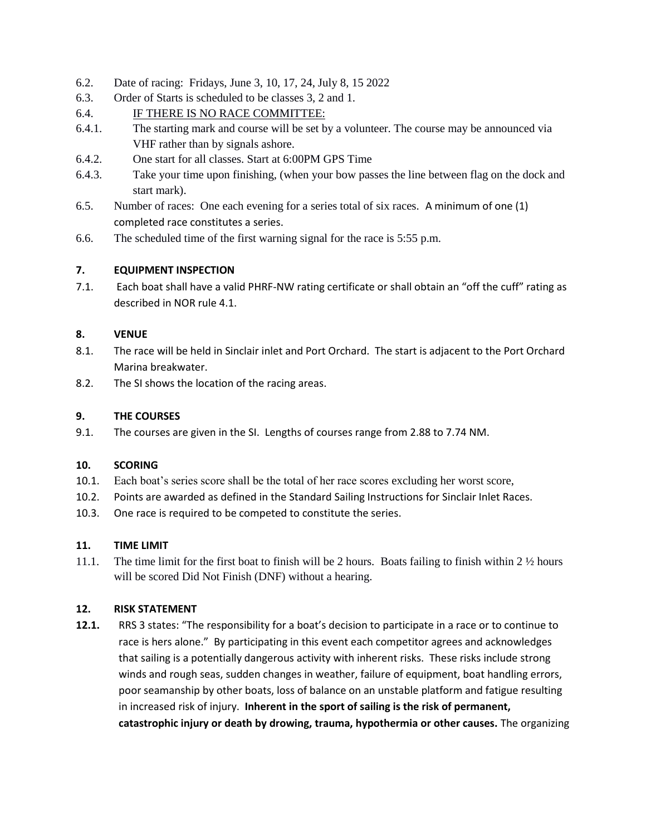- 6.2. Date of racing: Fridays, June 3, 10, 17, 24, July 8, 15 2022
- 6.3. Order of Starts is scheduled to be classes 3, 2 and 1.
- 6.4. IF THERE IS NO RACE COMMITTEE:
- 6.4.1. The starting mark and course will be set by a volunteer. The course may be announced via VHF rather than by signals ashore.
- 6.4.2. One start for all classes. Start at 6:00PM GPS Time
- 6.4.3. Take your time upon finishing, (when your bow passes the line between flag on the dock and start mark).
- 6.5. Number of races: One each evening for a series total of six races. A minimum of one (1) completed race constitutes a series.
- 6.6. The scheduled time of the first warning signal for the race is 5:55 p.m.

#### **7. EQUIPMENT INSPECTION**

7.1. Each boat shall have a valid PHRF-NW rating certificate or shall obtain an "off the cuff" rating as described in NOR rule 4.1.

#### **8. VENUE**

- 8.1. The race will be held in Sinclair inlet and Port Orchard. The start is adjacent to the Port Orchard Marina breakwater.
- 8.2. The SI shows the location of the racing areas.

### **9. THE COURSES**

9.1. The courses are given in the SI. Lengths of courses range from 2.88 to 7.74 NM.

#### **10. SCORING**

- 10.1. Each boat's series score shall be the total of her race scores excluding her worst score,
- 10.2. Points are awarded as defined in the Standard Sailing Instructions for Sinclair Inlet Races.
- 10.3. One race is required to be competed to constitute the series.

#### **11. TIME LIMIT**

11.1. The time limit for the first boat to finish will be 2 hours. Boats failing to finish within 2 ½ hours will be scored Did Not Finish (DNF) without a hearing.

#### **12. RISK STATEMENT**

**12.1.** RRS 3 states: "The responsibility for a boat's decision to participate in a race or to continue to race is hers alone." By participating in this event each competitor agrees and acknowledges that sailing is a potentially dangerous activity with inherent risks. These risks include strong winds and rough seas, sudden changes in weather, failure of equipment, boat handling errors, poor seamanship by other boats, loss of balance on an unstable platform and fatigue resulting in increased risk of injury. **Inherent in the sport of sailing is the risk of permanent, catastrophic injury or death by drowing, trauma, hypothermia or other causes.** The organizing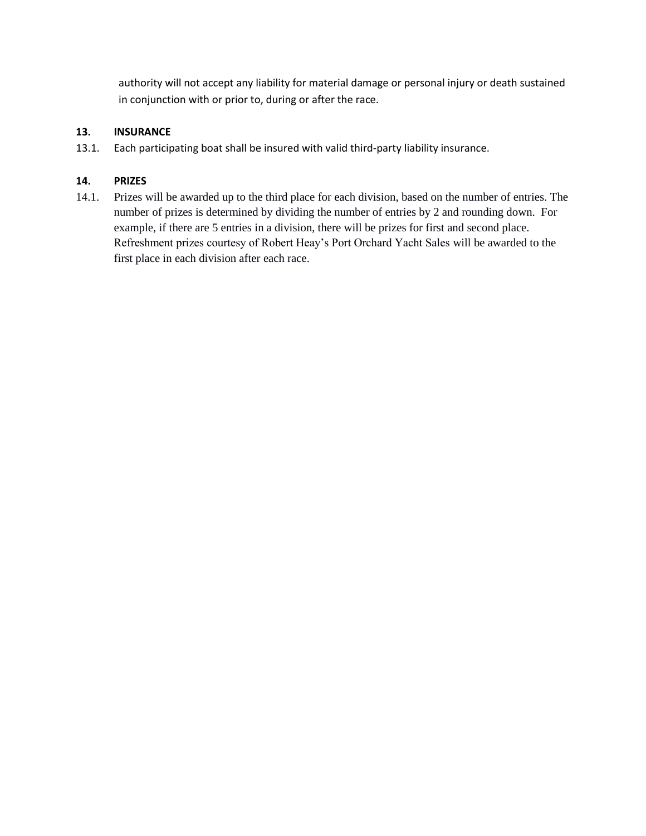authority will not accept any liability for material damage or personal injury or death sustained in conjunction with or prior to, during or after the race.

## **13. INSURANCE**

13.1. Each participating boat shall be insured with valid third-party liability insurance.

## **14. PRIZES**

14.1. Prizes will be awarded up to the third place for each division, based on the number of entries. The number of prizes is determined by dividing the number of entries by 2 and rounding down. For example, if there are 5 entries in a division, there will be prizes for first and second place. Refreshment prizes courtesy of Robert Heay's Port Orchard Yacht Sales will be awarded to the first place in each division after each race.